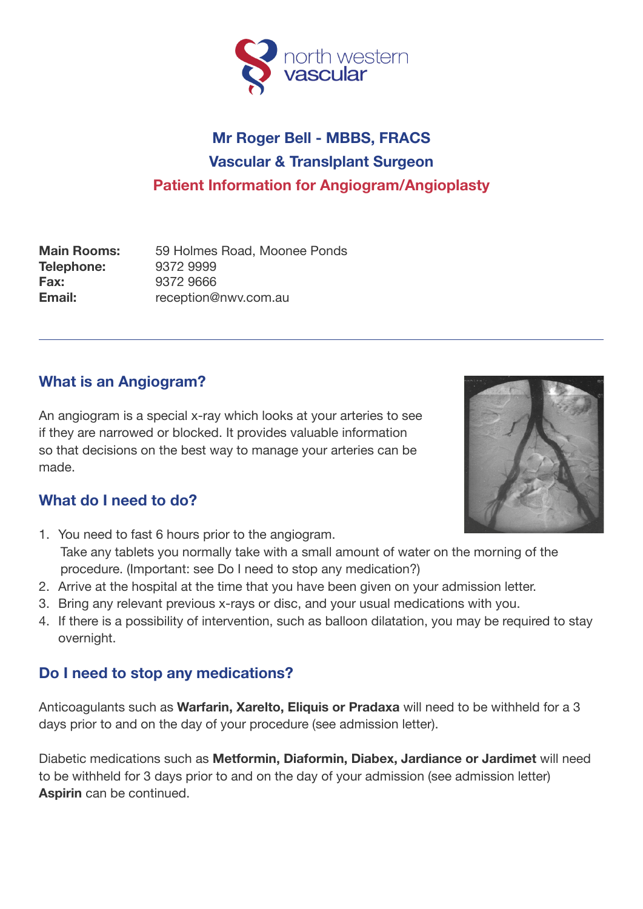

# **Mr Roger Bell - MBBS, FRACS Vascular & Translplant Surgeon Patient Information for Angiogram/Angioplasty**

**Main Rooms:** 59 Holmes Road, Moonee Ponds **Telephone:** 9372 9999 **Fax:** 9372 9666 **Email:** reception@nwv.com.au

## **What is an Angiogram?**

An angiogram is a special x-ray which looks at your arteries to see if they are narrowed or blocked. It provides valuable information so that decisions on the best way to manage your arteries can be made.

## **What do I need to do?**

- 1. You need to fast 6 hours prior to the angiogram. Take any tablets you normally take with a small amount of water on the morning of the procedure. (Important: see Do I need to stop any medication?)
- 2. Arrive at the hospital at the time that you have been given on your admission letter.
- 3. Bring any relevant previous x-rays or disc, and your usual medications with you.
- 4. If there is a possibility of intervention, such as balloon dilatation, you may be required to stay overnight.

## **Do I need to stop any medications?**

Anticoagulants such as **Warfarin, Xarelto, Eliquis or Pradaxa** will need to be withheld for a 3 days prior to and on the day of your procedure (see admission letter).

Diabetic medications such as **Metformin, Diaformin, Diabex, Jardiance or Jardimet** will need to be withheld for 3 days prior to and on the day of your admission (see admission letter) **Aspirin** can be continued.